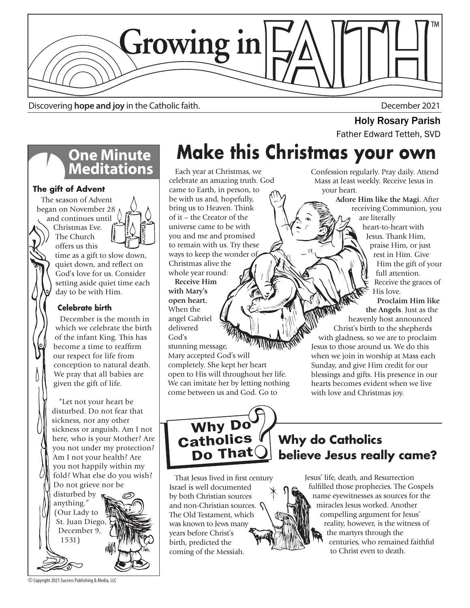

Discovering **hope and joy** in the Catholic faith. December 2021

# **One Minute<br>Meditations**

#### **The gift of Advent**

 The season of Advent began on November 28 and continues until Christmas Eve. The Church offers us this time as a gift to slow down, quiet down, and reflect on God's love for us. Consider setting aside quiet time each day to be with Him.

#### **Celebrate birth**

 December is the month in which we celebrate the birth of the infant King. This has become a time to reaffirm our respect for life from conception to natural death. We pray that all babies are given the gift of life.

 "Let not your heart be disturbed. Do not fear that sickness, nor any other sickness or anguish. Am I not here, who is your Mother? Are you not under my protection? Am I not your health? Are you not happily within my fold? What else do you wish? Do not grieve nor be

disturbed by anything." (Our Lady to St. Juan Diego, December 9, 1531)

## **Make this Christmas your own**

 Each year at Christmas, we celebrate an amazing truth. God came to Earth, in person, to be with us and, hopefully, bring us to Heaven. Think of it – the Creator of the universe came to be with you and me and promised to remain with us. Try these ways to keep the wonder of Christmas alive the whole year round:

 **Receive Him with Mary's open heart.** When the angel Gabriel delivered God's

stunning message, Mary accepted God's will completely. She kept her heart open to His will throughout her life. We can imitate her by letting nothing come between us and God. Go to



That Jesus lived in first century Israel is well documented by both Christian sources and non-Christian sources. The Old Testament, which was known to Jews many years before Christ's birth, predicted the coming of the Messiah.

#### your heart.  **Adore Him like the Magi.** After receiving Communion, you

Confession regularly. Pray daily. Attend Mass at least weekly. Receive Jesus in

**Holy Rosary Parish**<br>Father Edward Tetteh, SVD

are literally heart-to-heart with Jesus. Thank Him, praise Him, or just rest in Him. Give Him the gift of your full attention. Receive the graces of His love.

 **Proclaim Him like the Angels**. Just as the heavenly host announced Christ's birth to the shepherds with gladness, so we are to proclaim Jesus to those around us. We do this when we join in worship at Mass each Sunday, and give Him credit for our blessings and gifts. His presence in our hearts becomes evident when we live with love and Christmas joy.

## **Why do Catholics believe Jesus really came?**

Jesus' life, death, and Resurrection fulfilled those prophecies. The Gospels name eyewitnesses as sources for the miracles Jesus worked. Another compelling argument for Jesus' reality, however, is the witness of the martyrs through the centuries, who remained faithful to Christ even to death.

© Copyright 2021 Success Publishing & Media, LLC